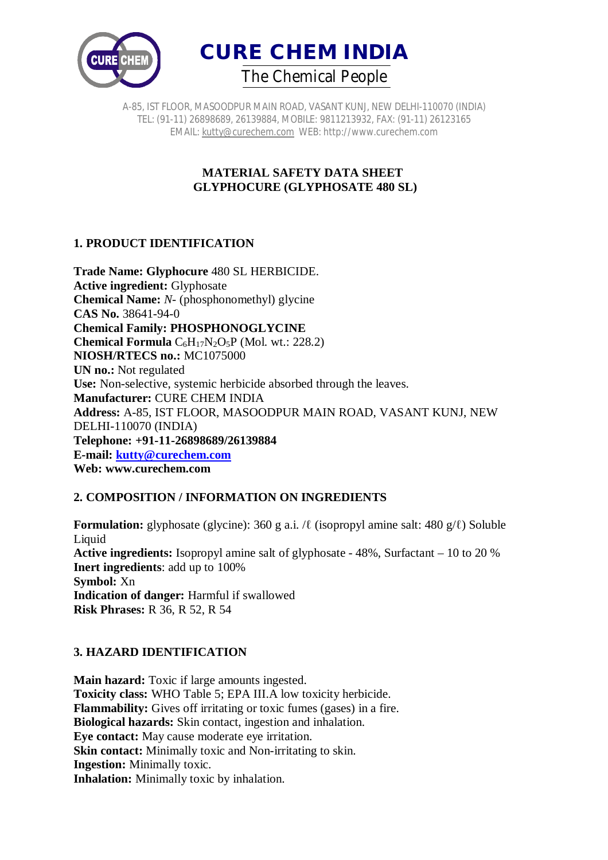



A-85, IST FLOOR, MASOODPUR MAIN ROAD, VASANT KUNJ, NEW DELHI-110070 (INDIA) TEL: (91-11) 26898689, 26139884, MOBILE: 9811213932, FAX: (91-11) 26123165 EMAIL: kutty@curechem.com WEB: http://www.curechem.com

## **MATERIAL SAFETY DATA SHEET GLYPHOCURE (GLYPHOSATE 480 SL)**

# **1. PRODUCT IDENTIFICATION**

**Trade Name: Glyphocure** 480 SL HERBICIDE. **Active ingredient:** Glyphosate **Chemical Name:** *N*- (phosphonomethyl) glycine **CAS No.** 38641-94-0 **Chemical Family: PHOSPHONOGLYCINE Chemical Formula**  $C_6H_{17}N_2O_5P$  (Mol. wt.: 228.2) **NIOSH/RTECS no.:** MC1075000 **UN no.:** Not regulated **Use:** Non-selective, systemic herbicide absorbed through the leaves. **Manufacturer:** CURE CHEM INDIA **Address:** A-85, IST FLOOR, MASOODPUR MAIN ROAD, VASANT KUNJ, NEW DELHI-110070 (INDIA) **Telephone: +91-11-26898689/26139884 E-mail: kutty@curechem.com Web: www.curechem.com**

## **2. COMPOSITION / INFORMATION ON INGREDIENTS**

**Formulation:** glyphosate (glycine): 360 g a.i. /ℓ (isopropyl amine salt: 480 g/ℓ) Soluble Liquid **Active ingredients:** Isopropyl amine salt of glyphosate - 48%, Surfactant – 10 to 20 % **Inert ingredients**: add up to 100% **Symbol:** Xn **Indication of danger:** Harmful if swallowed **Risk Phrases:** R 36, R 52, R 54

# **3. HAZARD IDENTIFICATION**

**Main hazard:** Toxic if large amounts ingested. **Toxicity class:** WHO Table 5; EPA III.A low toxicity herbicide. **Flammability:** Gives off irritating or toxic fumes (gases) in a fire. **Biological hazards:** Skin contact, ingestion and inhalation. **Eye contact:** May cause moderate eye irritation. **Skin contact:** Minimally toxic and Non-irritating to skin. **Ingestion:** Minimally toxic. **Inhalation:** Minimally toxic by inhalation.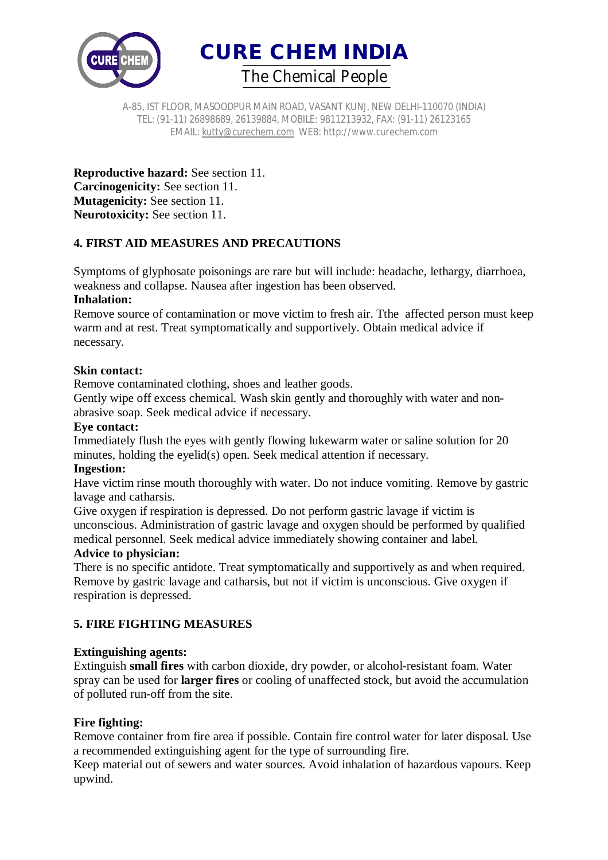

A-85, IST FLOOR, MASOODPUR MAIN ROAD, VASANT KUNJ, NEW DELHI-110070 (INDIA) TEL: (91-11) 26898689, 26139884, MOBILE: 9811213932, FAX: (91-11) 26123165 EMAIL: kutty@curechem.com WEB: http://www.curechem.com

**Reproductive hazard:** See section 11. **Carcinogenicity:** See section 11. **Mutagenicity:** See section 11. **Neurotoxicity:** See section 11.

# **4. FIRST AID MEASURES AND PRECAUTIONS**

Symptoms of glyphosate poisonings are rare but will include: headache, lethargy, diarrhoea, weakness and collapse. Nausea after ingestion has been observed.

## **Inhalation:**

Remove source of contamination or move victim to fresh air. Tthe affected person must keep warm and at rest. Treat symptomatically and supportively. Obtain medical advice if necessary.

## **Skin contact:**

Remove contaminated clothing, shoes and leather goods.

Gently wipe off excess chemical. Wash skin gently and thoroughly with water and nonabrasive soap. Seek medical advice if necessary.

#### **Eye contact:**

Immediately flush the eyes with gently flowing lukewarm water or saline solution for 20 minutes, holding the eyelid(s) open. Seek medical attention if necessary.

#### **Ingestion:**

Have victim rinse mouth thoroughly with water. Do not induce vomiting. Remove by gastric lavage and catharsis.

Give oxygen if respiration is depressed. Do not perform gastric lavage if victim is unconscious. Administration of gastric lavage and oxygen should be performed by qualified medical personnel. Seek medical advice immediately showing container and label.

## **Advice to physician:**

There is no specific antidote. Treat symptomatically and supportively as and when required. Remove by gastric lavage and catharsis, but not if victim is unconscious. Give oxygen if respiration is depressed.

# **5. FIRE FIGHTING MEASURES**

## **Extinguishing agents:**

Extinguish **small fires** with carbon dioxide, dry powder, or alcohol-resistant foam. Water spray can be used for **larger fires** or cooling of unaffected stock, but avoid the accumulation of polluted run-off from the site.

## **Fire fighting:**

Remove container from fire area if possible. Contain fire control water for later disposal. Use a recommended extinguishing agent for the type of surrounding fire.

Keep material out of sewers and water sources. Avoid inhalation of hazardous vapours. Keep upwind.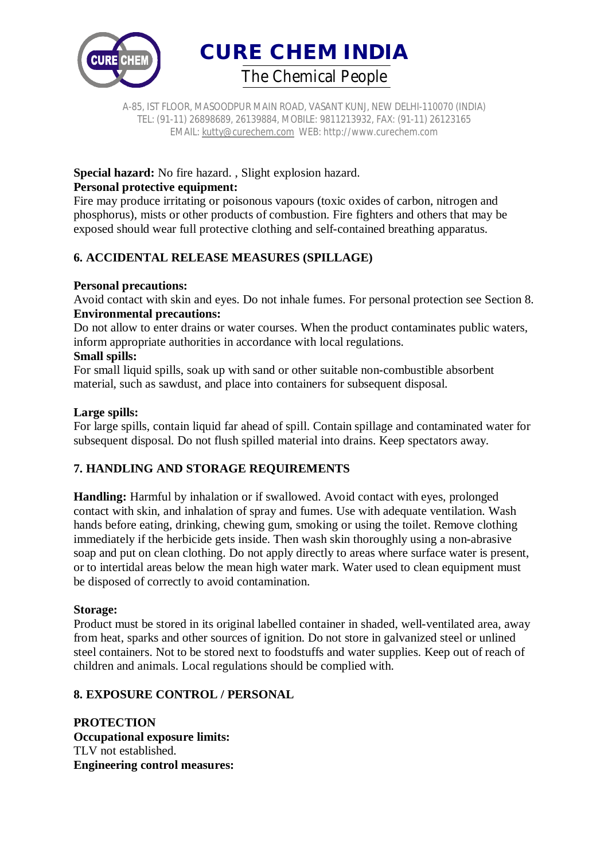

A-85, IST FLOOR, MASOODPUR MAIN ROAD, VASANT KUNJ, NEW DELHI-110070 (INDIA) TEL: (91-11) 26898689, 26139884, MOBILE: 9811213932, FAX: (91-11) 26123165 EMAIL: kutty@curechem.com WEB: http://www.curechem.com

## **Special hazard:** No fire hazard. , Slight explosion hazard. **Personal protective equipment:**

Fire may produce irritating or poisonous vapours (toxic oxides of carbon, nitrogen and phosphorus), mists or other products of combustion. Fire fighters and others that may be exposed should wear full protective clothing and self-contained breathing apparatus.

# **6. ACCIDENTAL RELEASE MEASURES (SPILLAGE)**

# **Personal precautions:**

Avoid contact with skin and eyes. Do not inhale fumes. For personal protection see Section 8. **Environmental precautions:**

Do not allow to enter drains or water courses. When the product contaminates public waters, inform appropriate authorities in accordance with local regulations.

## **Small spills:**

For small liquid spills, soak up with sand or other suitable non-combustible absorbent material, such as sawdust, and place into containers for subsequent disposal.

## **Large spills:**

For large spills, contain liquid far ahead of spill. Contain spillage and contaminated water for subsequent disposal. Do not flush spilled material into drains. Keep spectators away.

# **7. HANDLING AND STORAGE REQUIREMENTS**

**Handling:** Harmful by inhalation or if swallowed. Avoid contact with eyes, prolonged contact with skin, and inhalation of spray and fumes. Use with adequate ventilation. Wash hands before eating, drinking, chewing gum, smoking or using the toilet. Remove clothing immediately if the herbicide gets inside. Then wash skin thoroughly using a non-abrasive soap and put on clean clothing. Do not apply directly to areas where surface water is present, or to intertidal areas below the mean high water mark. Water used to clean equipment must be disposed of correctly to avoid contamination.

## **Storage:**

Product must be stored in its original labelled container in shaded, well-ventilated area, away from heat, sparks and other sources of ignition. Do not store in galvanized steel or unlined steel containers. Not to be stored next to foodstuffs and water supplies. Keep out of reach of children and animals. Local regulations should be complied with.

# **8. EXPOSURE CONTROL / PERSONAL**

**PROTECTION Occupational exposure limits:** TLV not established. **Engineering control measures:**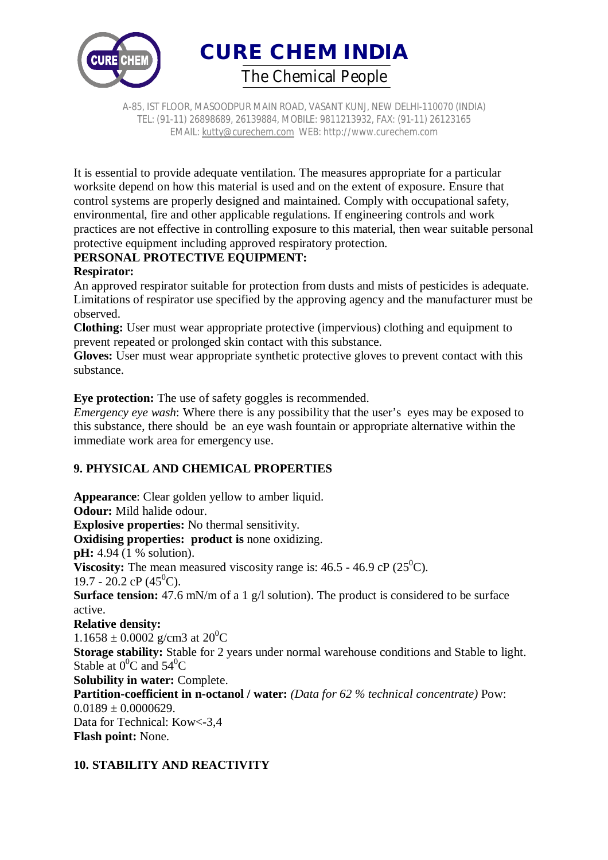

A-85, IST FLOOR, MASOODPUR MAIN ROAD, VASANT KUNJ, NEW DELHI-110070 (INDIA) TEL: (91-11) 26898689, 26139884, MOBILE: 9811213932, FAX: (91-11) 26123165 EMAIL: kutty@curechem.com WEB: http://www.curechem.com

It is essential to provide adequate ventilation. The measures appropriate for a particular worksite depend on how this material is used and on the extent of exposure. Ensure that control systems are properly designed and maintained. Comply with occupational safety, environmental, fire and other applicable regulations. If engineering controls and work practices are not effective in controlling exposure to this material, then wear suitable personal protective equipment including approved respiratory protection.

# **PERSONAL PROTECTIVE EQUIPMENT:**

## **Respirator:**

An approved respirator suitable for protection from dusts and mists of pesticides is adequate. Limitations of respirator use specified by the approving agency and the manufacturer must be observed.

**Clothing:** User must wear appropriate protective (impervious) clothing and equipment to prevent repeated or prolonged skin contact with this substance.

**Gloves:** User must wear appropriate synthetic protective gloves to prevent contact with this substance.

**Eye protection:** The use of safety goggles is recommended.

*Emergency eye wash:* Where there is any possibility that the user's eyes may be exposed to this substance, there should be an eye wash fountain or appropriate alternative within the immediate work area for emergency use.

# **9. PHYSICAL AND CHEMICAL PROPERTIES**

**Appearance**: Clear golden yellow to amber liquid. **Odour:** Mild halide odour. **Explosive properties:** No thermal sensitivity. **Oxidising properties: product is none oxidizing. pH:** 4.94 (1 % solution). **Viscosity:** The mean measured viscosity range is:  $46.5 - 46.9 \text{ cP}$  ( $25^0\text{C}$ ). 19.7 - 20.2 cP  $(45^{\circ}C)$ . **Surface tension:** 47.6 mN/m of a 1 g/l solution). The product is considered to be surface active. **Relative density:**  $1.1658 \pm 0.0002$  g/cm3 at  $20^0C$ **Storage stability:** Stable for 2 years under normal warehouse conditions and Stable to light. Stable at  $0^0C$  and  $54^0C$ **Solubility in water:** Complete. **Partition-coefficient in n-octanol / water:** *(Data for 62 % technical concentrate)* Pow:  $0.0189 \pm 0.0000629$ . Data for Technical: Kow<-3,4 **Flash point:** None.

# **10. STABILITY AND REACTIVITY**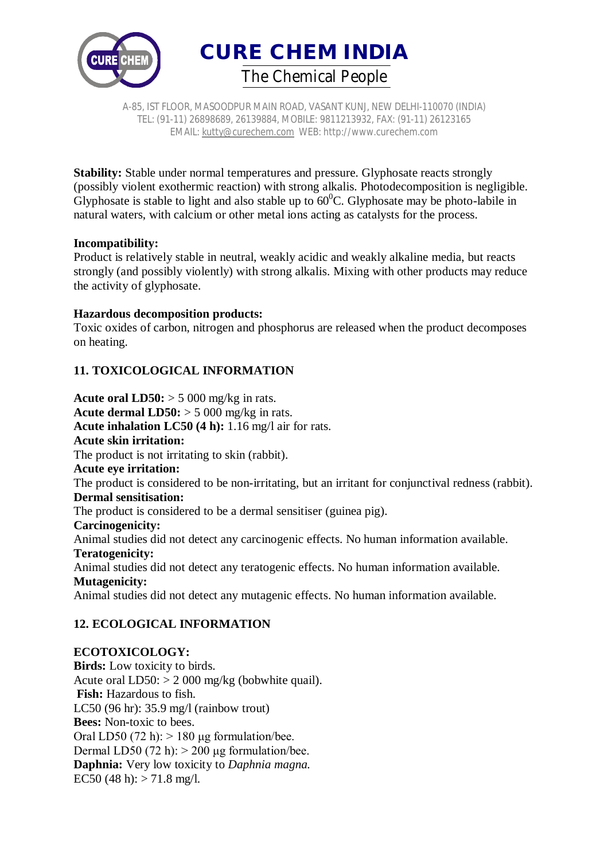



A-85, IST FLOOR, MASOODPUR MAIN ROAD, VASANT KUNJ, NEW DELHI-110070 (INDIA) TEL: (91-11) 26898689, 26139884, MOBILE: 9811213932, FAX: (91-11) 26123165 EMAIL: kutty@curechem.com WEB: http://www.curechem.com

**Stability:** Stable under normal temperatures and pressure. Glyphosate reacts strongly (possibly violent exothermic reaction) with strong alkalis. Photodecomposition is negligible. Glyphosate is stable to light and also stable up to  $60^{\circ}$ C. Glyphosate may be photo-labile in natural waters, with calcium or other metal ions acting as catalysts for the process.

#### **Incompatibility:**

Product is relatively stable in neutral, weakly acidic and weakly alkaline media, but reacts strongly (and possibly violently) with strong alkalis. Mixing with other products may reduce the activity of glyphosate.

#### **Hazardous decomposition products:**

Toxic oxides of carbon, nitrogen and phosphorus are released when the product decomposes on heating.

# **11. TOXICOLOGICAL INFORMATION**

**Acute oral LD50:**  $> 5000$  mg/kg in rats. **Acute dermal LD50:**  $> 5000$  mg/kg in rats. **Acute inhalation LC50 (4 h):** 1.16 mg/l air for rats. **Acute skin irritation:** The product is not irritating to skin (rabbit). **Acute eye irritation:** The product is considered to be non-irritating, but an irritant for conjunctival redness (rabbit). **Dermal sensitisation:** The product is considered to be a dermal sensitiser (guinea pig). **Carcinogenicity:** Animal studies did not detect any carcinogenic effects. No human information available. **Teratogenicity:** Animal studies did not detect any teratogenic effects. No human information available. **Mutagenicity:** Animal studies did not detect any mutagenic effects. No human information available.

# **12. ECOLOGICAL INFORMATION**

## **ECOTOXICOLOGY:**

**Birds:** Low toxicity to birds. Acute oral  $LD50$ :  $> 2000$  mg/kg (bobwhite quail). **Fish:** Hazardous to fish. LC50 (96 hr): 35.9 mg/l (rainbow trout) **Bees:** Non-toxic to bees. Oral LD50 (72 h):  $> 180 \mu$ g formulation/bee. Dermal LD50 (72 h):  $> 200 \mu$ g formulation/bee. **Daphnia:** Very low toxicity to *Daphnia magna.* EC50 (48 h):  $> 71.8$  mg/l.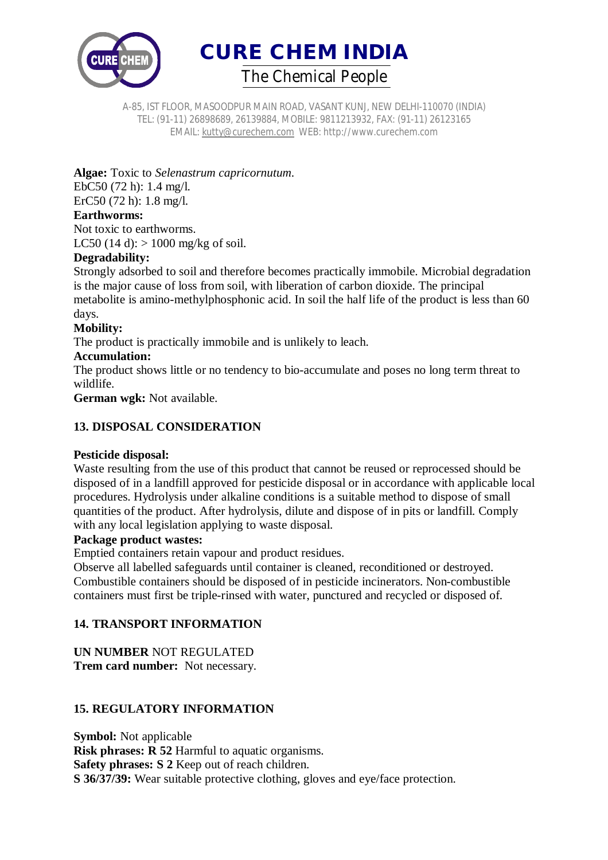

A-85, IST FLOOR, MASOODPUR MAIN ROAD, VASANT KUNJ, NEW DELHI-110070 (INDIA) TEL: (91-11) 26898689, 26139884, MOBILE: 9811213932, FAX: (91-11) 26123165 EMAIL: kutty@curechem.com WEB: http://www.curechem.com

**Algae:** Toxic to *Selenastrum capricornutum*.

EbC50 (72 h): 1.4 mg/l. ErC50 (72 h): 1.8 mg/l. **Earthworms:**

Not toxic to earthworms. LC50 (14 d):  $> 1000$  mg/kg of soil.

# **Degradability:**

Strongly adsorbed to soil and therefore becomes practically immobile. Microbial degradation is the major cause of loss from soil, with liberation of carbon dioxide. The principal metabolite is amino-methylphosphonic acid. In soil the half life of the product is less than 60 days.

## **Mobility:**

The product is practically immobile and is unlikely to leach.

#### **Accumulation:**

The product shows little or no tendency to bio-accumulate and poses no long term threat to wildlife.

**German wgk:** Not available.

## **13. DISPOSAL CONSIDERATION**

## **Pesticide disposal:**

Waste resulting from the use of this product that cannot be reused or reprocessed should be disposed of in a landfill approved for pesticide disposal or in accordance with applicable local procedures. Hydrolysis under alkaline conditions is a suitable method to dispose of small quantities of the product. After hydrolysis, dilute and dispose of in pits or landfill. Comply with any local legislation applying to waste disposal.

#### **Package product wastes:**

Emptied containers retain vapour and product residues.

Observe all labelled safeguards until container is cleaned, reconditioned or destroyed. Combustible containers should be disposed of in pesticide incinerators. Non-combustible containers must first be triple-rinsed with water, punctured and recycled or disposed of.

# **14. TRANSPORT INFORMATION**

**UN NUMBER** NOT REGULATED **Trem card number:** Not necessary.

# **15. REGULATORY INFORMATION**

**Symbol:** Not applicable **Risk phrases: R 52 Harmful to aquatic organisms. Safety phrases: S 2** Keep out of reach children. **S 36/37/39:** Wear suitable protective clothing, gloves and eye/face protection.